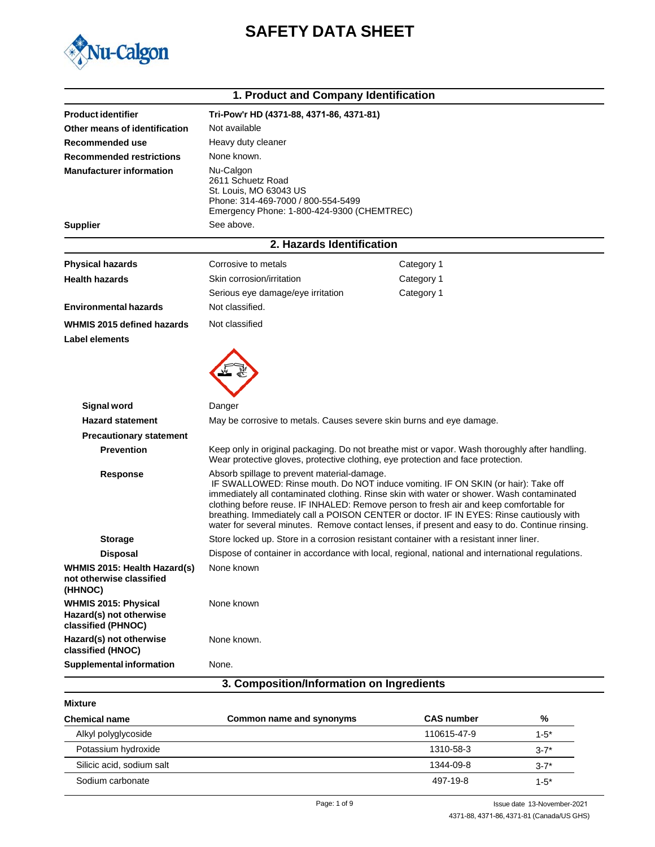



|                                                                              | 1. Product and Company Identification                                                                                                                                                                                                                                                                                                                                                                                                                                                                                 |                                                                                                                                                                                    |
|------------------------------------------------------------------------------|-----------------------------------------------------------------------------------------------------------------------------------------------------------------------------------------------------------------------------------------------------------------------------------------------------------------------------------------------------------------------------------------------------------------------------------------------------------------------------------------------------------------------|------------------------------------------------------------------------------------------------------------------------------------------------------------------------------------|
| <b>Product identifier</b>                                                    | Tri-Pow'r HD (4371-88, 4371-86, 4371-81)                                                                                                                                                                                                                                                                                                                                                                                                                                                                              |                                                                                                                                                                                    |
| Other means of identification                                                | Not available                                                                                                                                                                                                                                                                                                                                                                                                                                                                                                         |                                                                                                                                                                                    |
| Recommended use                                                              | Heavy duty cleaner                                                                                                                                                                                                                                                                                                                                                                                                                                                                                                    |                                                                                                                                                                                    |
| <b>Recommended restrictions</b>                                              | None known.                                                                                                                                                                                                                                                                                                                                                                                                                                                                                                           |                                                                                                                                                                                    |
| <b>Manufacturer information</b>                                              | Nu-Calgon<br>2611 Schuetz Road<br>St. Louis, MO 63043 US<br>Phone: 314-469-7000 / 800-554-5499<br>Emergency Phone: 1-800-424-9300 (CHEMTREC)                                                                                                                                                                                                                                                                                                                                                                          |                                                                                                                                                                                    |
| <b>Supplier</b>                                                              | See above.                                                                                                                                                                                                                                                                                                                                                                                                                                                                                                            |                                                                                                                                                                                    |
|                                                                              | 2. Hazards Identification                                                                                                                                                                                                                                                                                                                                                                                                                                                                                             |                                                                                                                                                                                    |
| <b>Physical hazards</b>                                                      | Corrosive to metals                                                                                                                                                                                                                                                                                                                                                                                                                                                                                                   | Category 1                                                                                                                                                                         |
| <b>Health hazards</b>                                                        | Skin corrosion/irritation                                                                                                                                                                                                                                                                                                                                                                                                                                                                                             | Category 1                                                                                                                                                                         |
|                                                                              | Serious eye damage/eye irritation                                                                                                                                                                                                                                                                                                                                                                                                                                                                                     | Category 1                                                                                                                                                                         |
| <b>Environmental hazards</b>                                                 | Not classified.                                                                                                                                                                                                                                                                                                                                                                                                                                                                                                       |                                                                                                                                                                                    |
| WHMIS 2015 defined hazards                                                   | Not classified                                                                                                                                                                                                                                                                                                                                                                                                                                                                                                        |                                                                                                                                                                                    |
| <b>Label elements</b>                                                        |                                                                                                                                                                                                                                                                                                                                                                                                                                                                                                                       |                                                                                                                                                                                    |
|                                                                              |                                                                                                                                                                                                                                                                                                                                                                                                                                                                                                                       |                                                                                                                                                                                    |
| <b>Signal word</b>                                                           | Danger                                                                                                                                                                                                                                                                                                                                                                                                                                                                                                                |                                                                                                                                                                                    |
| <b>Hazard statement</b>                                                      | May be corrosive to metals. Causes severe skin burns and eye damage.                                                                                                                                                                                                                                                                                                                                                                                                                                                  |                                                                                                                                                                                    |
| <b>Precautionary statement</b>                                               |                                                                                                                                                                                                                                                                                                                                                                                                                                                                                                                       |                                                                                                                                                                                    |
| <b>Prevention</b>                                                            |                                                                                                                                                                                                                                                                                                                                                                                                                                                                                                                       | Keep only in original packaging. Do not breathe mist or vapor. Wash thoroughly after handling.<br>Wear protective gloves, protective clothing, eye protection and face protection. |
| <b>Response</b>                                                              | Absorb spillage to prevent material-damage.<br>IF SWALLOWED: Rinse mouth. Do NOT induce vomiting. IF ON SKIN (or hair): Take off<br>immediately all contaminated clothing. Rinse skin with water or shower. Wash contaminated<br>clothing before reuse. IF INHALED: Remove person to fresh air and keep comfortable for<br>breathing. Immediately call a POISON CENTER or doctor. IF IN EYES: Rinse cautiously with<br>water for several minutes. Remove contact lenses, if present and easy to do. Continue rinsing. |                                                                                                                                                                                    |
| <b>Storage</b>                                                               |                                                                                                                                                                                                                                                                                                                                                                                                                                                                                                                       | Store locked up. Store in a corrosion resistant container with a resistant inner liner.                                                                                            |
| <b>Disposal</b>                                                              |                                                                                                                                                                                                                                                                                                                                                                                                                                                                                                                       | Dispose of container in accordance with local, regional, national and international regulations.                                                                                   |
| WHMIS 2015: Health Hazard(s)<br>not otherwise classified<br>(HHNOC)          | None known                                                                                                                                                                                                                                                                                                                                                                                                                                                                                                            |                                                                                                                                                                                    |
| <b>WHMIS 2015: Physical</b><br>Hazard(s) not otherwise<br>classified (PHNOC) | None known                                                                                                                                                                                                                                                                                                                                                                                                                                                                                                            |                                                                                                                                                                                    |
| Hazard(s) not otherwise<br>classified (HNOC)                                 | None known.                                                                                                                                                                                                                                                                                                                                                                                                                                                                                                           |                                                                                                                                                                                    |
| <b>Supplemental information</b>                                              | None.                                                                                                                                                                                                                                                                                                                                                                                                                                                                                                                 |                                                                                                                                                                                    |
|                                                                              | 3. Composition/Information on Ingredients                                                                                                                                                                                                                                                                                                                                                                                                                                                                             |                                                                                                                                                                                    |

| Mixture                   |                          |                   |           |
|---------------------------|--------------------------|-------------------|-----------|
| <b>Chemical name</b>      | Common name and synonyms | <b>CAS number</b> | %         |
| Alkyl polyglycoside       |                          | 110615-47-9       | $1 - 5^*$ |
| Potassium hydroxide       |                          | 1310-58-3         | $3 - 7^*$ |
| Silicic acid, sodium salt |                          | 1344-09-8         | $3 - 7*$  |
| Sodium carbonate          |                          | 497-19-8          | $1 - 5^*$ |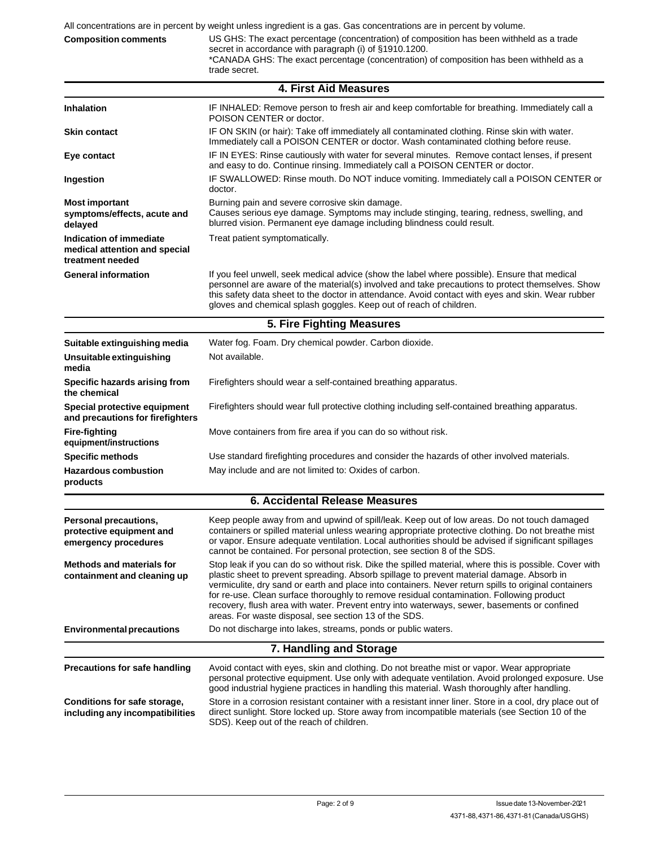| All concentrations are in percent by weight unless ingredient is a gas. Gas concentrations are in percent by volume. |                                                                                                                                                                                                                                                                |  |  |
|----------------------------------------------------------------------------------------------------------------------|----------------------------------------------------------------------------------------------------------------------------------------------------------------------------------------------------------------------------------------------------------------|--|--|
| <b>Composition comments</b>                                                                                          | US GHS: The exact percentage (concentration) of composition has been withheld as a trade<br>secret in accordance with paragraph (i) of §1910.1200.<br>*CANADA GHS: The exact percentage (concentration) of composition has been withheld as a<br>trade secret. |  |  |

|                                                                              | <b>4. First Aid Measures</b>                                                                                                                                                                                                                                                                                                                                                                                                                                                                                                                                    |  |
|------------------------------------------------------------------------------|-----------------------------------------------------------------------------------------------------------------------------------------------------------------------------------------------------------------------------------------------------------------------------------------------------------------------------------------------------------------------------------------------------------------------------------------------------------------------------------------------------------------------------------------------------------------|--|
| <b>Inhalation</b>                                                            | IF INHALED: Remove person to fresh air and keep comfortable for breathing. Immediately call a<br>POISON CENTER or doctor.                                                                                                                                                                                                                                                                                                                                                                                                                                       |  |
| <b>Skin contact</b>                                                          | IF ON SKIN (or hair): Take off immediately all contaminated clothing. Rinse skin with water.<br>Immediately call a POISON CENTER or doctor. Wash contaminated clothing before reuse.                                                                                                                                                                                                                                                                                                                                                                            |  |
| Eye contact                                                                  | IF IN EYES: Rinse cautiously with water for several minutes. Remove contact lenses, if present<br>and easy to do. Continue rinsing. Immediately call a POISON CENTER or doctor.                                                                                                                                                                                                                                                                                                                                                                                 |  |
| Ingestion                                                                    | IF SWALLOWED: Rinse mouth. Do NOT induce vomiting. Immediately call a POISON CENTER or<br>doctor.                                                                                                                                                                                                                                                                                                                                                                                                                                                               |  |
| <b>Most important</b><br>symptoms/effects, acute and<br>delayed              | Burning pain and severe corrosive skin damage.<br>Causes serious eye damage. Symptoms may include stinging, tearing, redness, swelling, and<br>blurred vision. Permanent eye damage including blindness could result.                                                                                                                                                                                                                                                                                                                                           |  |
| Indication of immediate<br>medical attention and special<br>treatment needed | Treat patient symptomatically.                                                                                                                                                                                                                                                                                                                                                                                                                                                                                                                                  |  |
| <b>General information</b>                                                   | If you feel unwell, seek medical advice (show the label where possible). Ensure that medical<br>personnel are aware of the material(s) involved and take precautions to protect themselves. Show<br>this safety data sheet to the doctor in attendance. Avoid contact with eyes and skin. Wear rubber<br>gloves and chemical splash goggles. Keep out of reach of children.                                                                                                                                                                                     |  |
|                                                                              | 5. Fire Fighting Measures                                                                                                                                                                                                                                                                                                                                                                                                                                                                                                                                       |  |
| Suitable extinguishing media                                                 | Water fog. Foam. Dry chemical powder. Carbon dioxide.                                                                                                                                                                                                                                                                                                                                                                                                                                                                                                           |  |
| Unsuitable extinguishing<br>media                                            | Not available.                                                                                                                                                                                                                                                                                                                                                                                                                                                                                                                                                  |  |
| Specific hazards arising from<br>the chemical                                | Firefighters should wear a self-contained breathing apparatus.                                                                                                                                                                                                                                                                                                                                                                                                                                                                                                  |  |
| Special protective equipment<br>and precautions for firefighters             | Firefighters should wear full protective clothing including self-contained breathing apparatus.                                                                                                                                                                                                                                                                                                                                                                                                                                                                 |  |
| <b>Fire-fighting</b><br>equipment/instructions                               | Move containers from fire area if you can do so without risk.                                                                                                                                                                                                                                                                                                                                                                                                                                                                                                   |  |
| <b>Specific methods</b>                                                      | Use standard firefighting procedures and consider the hazards of other involved materials.                                                                                                                                                                                                                                                                                                                                                                                                                                                                      |  |
| <b>Hazardous combustion</b><br>products                                      | May include and are not limited to: Oxides of carbon.                                                                                                                                                                                                                                                                                                                                                                                                                                                                                                           |  |
|                                                                              | <b>6. Accidental Release Measures</b>                                                                                                                                                                                                                                                                                                                                                                                                                                                                                                                           |  |
| Personal precautions,<br>protective equipment and<br>emergency procedures    | Keep people away from and upwind of spill/leak. Keep out of low areas. Do not touch damaged<br>containers or spilled material unless wearing appropriate protective clothing. Do not breathe mist<br>or vapor. Ensure adequate ventilation. Local authorities should be advised if significant spillages<br>cannot be contained. For personal protection, see section 8 of the SDS.                                                                                                                                                                             |  |
| <b>Methods and materials for</b><br>containment and cleaning up              | Stop leak if you can do so without risk. Dike the spilled material, where this is possible. Cover with<br>plastic sheet to prevent spreading. Absorb spillage to prevent material damage. Absorb in<br>vermiculite, dry sand or earth and place into containers. Never return spills to original containers<br>for re-use. Clean surface thoroughly to remove residual contamination. Following product<br>recovery, flush area with water. Prevent entry into waterways, sewer, basements or confined<br>areas. For waste disposal, see section 13 of the SDS. |  |
| <b>Environmental precautions</b>                                             | Do not discharge into lakes, streams, ponds or public waters.                                                                                                                                                                                                                                                                                                                                                                                                                                                                                                   |  |
|                                                                              | 7. Handling and Storage                                                                                                                                                                                                                                                                                                                                                                                                                                                                                                                                         |  |
| Precautions for safe handling                                                | Avoid contact with eyes, skin and clothing. Do not breathe mist or vapor. Wear appropriate<br>personal protective equipment. Use only with adequate ventilation. Avoid prolonged exposure. Use<br>good industrial hygiene practices in handling this material. Wash thoroughly after handling.                                                                                                                                                                                                                                                                  |  |
| Conditions for safe storage,<br>including any incompatibilities              | Store in a corrosion resistant container with a resistant inner liner. Store in a cool, dry place out of<br>direct sunlight. Store locked up. Store away from incompatible materials (see Section 10 of the<br>SDS). Keep out of the reach of children.                                                                                                                                                                                                                                                                                                         |  |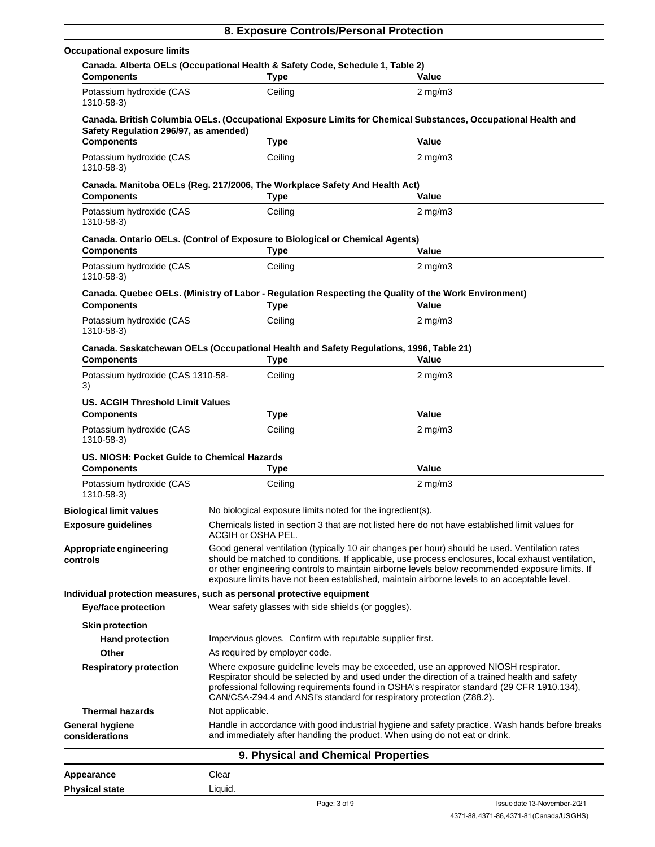|                                                                       |                                                                                                                                                                                                                                                                                                                                                                                                        | 8. Exposure Controls/Personal Protection                                                                                                                                       |  |
|-----------------------------------------------------------------------|--------------------------------------------------------------------------------------------------------------------------------------------------------------------------------------------------------------------------------------------------------------------------------------------------------------------------------------------------------------------------------------------------------|--------------------------------------------------------------------------------------------------------------------------------------------------------------------------------|--|
| <b>Occupational exposure limits</b>                                   |                                                                                                                                                                                                                                                                                                                                                                                                        |                                                                                                                                                                                |  |
| <b>Components</b>                                                     | Canada. Alberta OELs (Occupational Health & Safety Code, Schedule 1, Table 2)<br><b>Type</b>                                                                                                                                                                                                                                                                                                           | Value                                                                                                                                                                          |  |
| Potassium hydroxide (CAS<br>1310-58-3)                                | Ceiling                                                                                                                                                                                                                                                                                                                                                                                                | $2 \text{ mg/m}$                                                                                                                                                               |  |
| Safety Regulation 296/97, as amended)                                 |                                                                                                                                                                                                                                                                                                                                                                                                        | Canada. British Columbia OELs. (Occupational Exposure Limits for Chemical Substances, Occupational Health and                                                                  |  |
| <b>Components</b>                                                     | <b>Type</b>                                                                                                                                                                                                                                                                                                                                                                                            | Value                                                                                                                                                                          |  |
| Potassium hydroxide (CAS<br>1310-58-3)                                | Ceiling                                                                                                                                                                                                                                                                                                                                                                                                | $2 \text{ mg/m}$ 3                                                                                                                                                             |  |
| <b>Components</b>                                                     | Canada. Manitoba OELs (Reg. 217/2006, The Workplace Safety And Health Act)<br><b>Type</b>                                                                                                                                                                                                                                                                                                              | Value                                                                                                                                                                          |  |
| Potassium hydroxide (CAS<br>1310-58-3)                                | Ceiling                                                                                                                                                                                                                                                                                                                                                                                                | $2 \text{ mg/m}$                                                                                                                                                               |  |
| <b>Components</b>                                                     | Canada. Ontario OELs. (Control of Exposure to Biological or Chemical Agents)<br><b>Type</b>                                                                                                                                                                                                                                                                                                            | Value                                                                                                                                                                          |  |
| Potassium hydroxide (CAS<br>1310-58-3)                                | Ceiling                                                                                                                                                                                                                                                                                                                                                                                                | $2 \text{ mg/m}$ 3                                                                                                                                                             |  |
| <b>Components</b>                                                     | <b>Type</b>                                                                                                                                                                                                                                                                                                                                                                                            | Canada. Quebec OELs. (Ministry of Labor - Regulation Respecting the Quality of the Work Environment)<br>Value                                                                  |  |
| Potassium hydroxide (CAS<br>1310-58-3)                                | Ceiling                                                                                                                                                                                                                                                                                                                                                                                                | $2 \text{ mg/m}$                                                                                                                                                               |  |
| <b>Components</b>                                                     | <b>Type</b>                                                                                                                                                                                                                                                                                                                                                                                            | Canada. Saskatchewan OELs (Occupational Health and Safety Regulations, 1996, Table 21)<br>Value                                                                                |  |
| Potassium hydroxide (CAS 1310-58-<br>3)                               | Ceiling                                                                                                                                                                                                                                                                                                                                                                                                | $2 \text{ mg/m}$                                                                                                                                                               |  |
| <b>US. ACGIH Threshold Limit Values</b><br><b>Components</b>          | <b>Type</b>                                                                                                                                                                                                                                                                                                                                                                                            | Value                                                                                                                                                                          |  |
| Potassium hydroxide (CAS<br>1310-58-3)                                | Ceiling                                                                                                                                                                                                                                                                                                                                                                                                | $2$ mg/m $3$                                                                                                                                                                   |  |
| US. NIOSH: Pocket Guide to Chemical Hazards<br><b>Components</b>      | <b>Type</b>                                                                                                                                                                                                                                                                                                                                                                                            | Value                                                                                                                                                                          |  |
| Potassium hydroxide (CAS<br>1310-58-3)                                | Ceiling                                                                                                                                                                                                                                                                                                                                                                                                | $2$ mg/m $3$                                                                                                                                                                   |  |
| <b>Biological limit values</b>                                        | No biological exposure limits noted for the ingredient(s).                                                                                                                                                                                                                                                                                                                                             |                                                                                                                                                                                |  |
| <b>Exposure guidelines</b>                                            | ACGIH or OSHA PEL.                                                                                                                                                                                                                                                                                                                                                                                     | Chemicals listed in section 3 that are not listed here do not have established limit values for                                                                                |  |
| Appropriate engineering<br>controls                                   | Good general ventilation (typically 10 air changes per hour) should be used. Ventilation rates<br>should be matched to conditions. If applicable, use process enclosures, local exhaust ventilation,<br>or other engineering controls to maintain airborne levels below recommended exposure limits. If<br>exposure limits have not been established, maintain airborne levels to an acceptable level. |                                                                                                                                                                                |  |
| Individual protection measures, such as personal protective equipment |                                                                                                                                                                                                                                                                                                                                                                                                        |                                                                                                                                                                                |  |
| Eye/face protection                                                   | Wear safety glasses with side shields (or goggles).                                                                                                                                                                                                                                                                                                                                                    |                                                                                                                                                                                |  |
| <b>Skin protection</b>                                                |                                                                                                                                                                                                                                                                                                                                                                                                        |                                                                                                                                                                                |  |
| <b>Hand protection</b>                                                | Impervious gloves. Confirm with reputable supplier first.                                                                                                                                                                                                                                                                                                                                              |                                                                                                                                                                                |  |
| Other                                                                 | As required by employer code.                                                                                                                                                                                                                                                                                                                                                                          |                                                                                                                                                                                |  |
| <b>Respiratory protection</b>                                         | Where exposure guideline levels may be exceeded, use an approved NIOSH respirator.<br>Respirator should be selected by and used under the direction of a trained health and safety<br>professional following requirements found in OSHA's respirator standard (29 CFR 1910.134),<br>CAN/CSA-Z94.4 and ANSI's standard for respiratory protection (Z88.2).                                              |                                                                                                                                                                                |  |
| <b>Thermal hazards</b>                                                | Not applicable.                                                                                                                                                                                                                                                                                                                                                                                        |                                                                                                                                                                                |  |
| <b>General hygiene</b><br>considerations                              |                                                                                                                                                                                                                                                                                                                                                                                                        | Handle in accordance with good industrial hygiene and safety practice. Wash hands before breaks<br>and immediately after handling the product. When using do not eat or drink. |  |
|                                                                       |                                                                                                                                                                                                                                                                                                                                                                                                        | 9. Physical and Chemical Properties                                                                                                                                            |  |
| Appearance                                                            | Clear                                                                                                                                                                                                                                                                                                                                                                                                  |                                                                                                                                                                                |  |

Liquid.

**Physical state**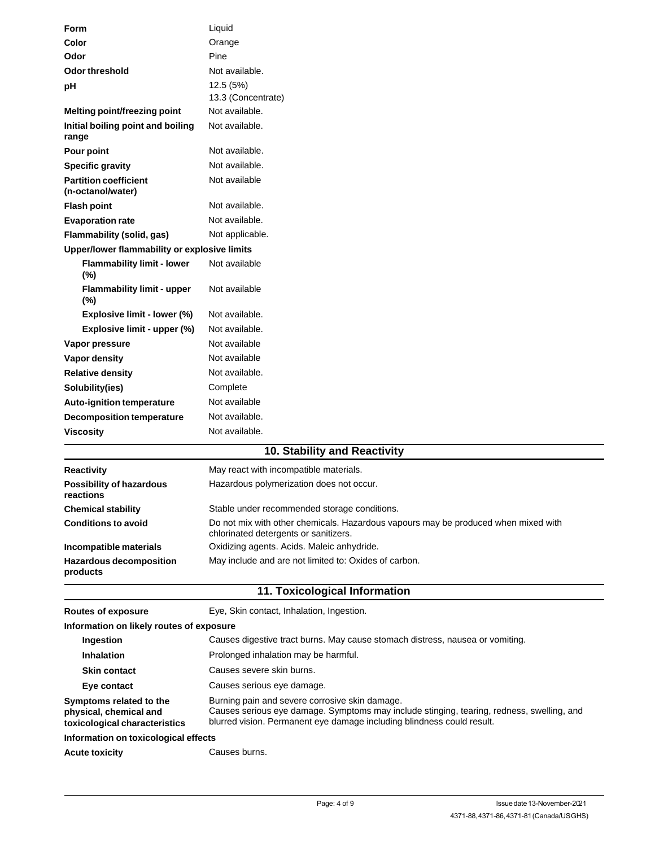| Form                                              | Liquid                          |
|---------------------------------------------------|---------------------------------|
| Color                                             | Orange                          |
| Odor                                              | Pine                            |
| <b>Odor threshold</b>                             | Not available.                  |
| pH                                                | 12.5 (5%)<br>13.3 (Concentrate) |
| Melting point/freezing point                      | Not available.                  |
| Initial boiling point and boiling<br>range        | Not available.                  |
| Pour point                                        | Not available.                  |
| <b>Specific gravity</b>                           | Not available.                  |
| <b>Partition coefficient</b><br>(n-octanol/water) | Not available                   |
| <b>Flash point</b>                                | Not available.                  |
| <b>Evaporation rate</b>                           | Not available.                  |
| Flammability (solid, gas)                         | Not applicable.                 |
| Upper/lower flammability or explosive limits      |                                 |
| <b>Flammability limit - lower</b><br>(%)          | Not available                   |
| <b>Flammability limit - upper</b><br>(%)          | Not available                   |
| Explosive limit - lower (%)                       | Not available.                  |
| Explosive limit - upper (%)                       | Not available.                  |
| Vapor pressure                                    | Not available                   |
| Vapor density                                     | Not available                   |
| <b>Relative density</b>                           | Not available.                  |
| Solubility(ies)                                   | Complete                        |
| <b>Auto-ignition temperature</b>                  | Not available                   |
| <b>Decomposition temperature</b>                  | Not available.                  |
| <b>Viscosity</b>                                  | Not available.                  |
|                                                   | 10 Stability and Pogotivity     |

# **10. Stability and Reactivity**

| <b>Reactivity</b>                            | May react with incompatible materials.                                                                                      |
|----------------------------------------------|-----------------------------------------------------------------------------------------------------------------------------|
| <b>Possibility of hazardous</b><br>reactions | Hazardous polymerization does not occur.                                                                                    |
| <b>Chemical stability</b>                    | Stable under recommended storage conditions.                                                                                |
| <b>Conditions to avoid</b>                   | Do not mix with other chemicals. Hazardous vapours may be produced when mixed with<br>chlorinated detergents or sanitizers. |
| Incompatible materials                       | Oxidizing agents. Acids. Maleic anhydride.                                                                                  |
| <b>Hazardous decomposition</b><br>products   | May include and are not limited to: Oxides of carbon.                                                                       |

#### **11. Toxicological Information**

**Routes of exposure Eye, Skin contact, Inhalation, Ingestion. Information on likely routes of exposure**

**Ingestion Inhalation Skin contact Eye contact Symptoms related to the physical, chemical and toxicological characteristics** Causes digestive tract burns. May cause stomach distress, nausea or vomiting. Prolonged inhalation may be harmful. Causes severe skin burns. Causes serious eye damage. Burning pain and severe corrosive skin damage. Causes serious eye damage. Symptoms may include stinging, tearing, redness, swelling, and blurred vision. Permanent eye damage including blindness could result. **Information on toxicological effects** Acute toxicity **Causes burns.**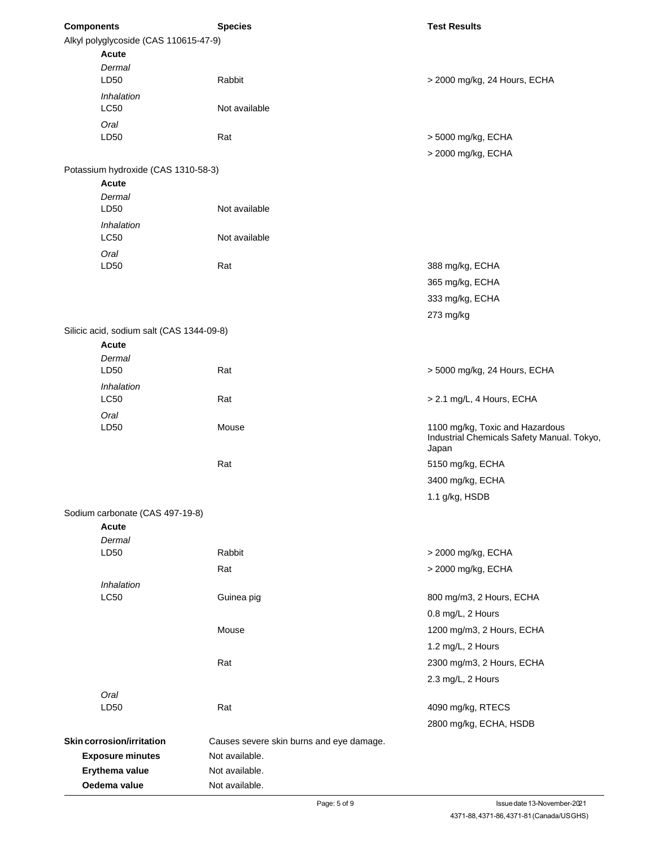| <b>Components</b>                         | <b>Species</b>                           | <b>Test Results</b>                        |
|-------------------------------------------|------------------------------------------|--------------------------------------------|
| Alkyl polyglycoside (CAS 110615-47-9)     |                                          |                                            |
| Acute                                     |                                          |                                            |
| Dermal                                    |                                          |                                            |
| LD50                                      | Rabbit                                   | > 2000 mg/kg, 24 Hours, ECHA               |
| <i><b>Inhalation</b></i>                  |                                          |                                            |
| <b>LC50</b>                               | Not available                            |                                            |
| Oral                                      |                                          |                                            |
| LD50                                      | Rat                                      | > 5000 mg/kg, ECHA                         |
|                                           |                                          | > 2000 mg/kg, ECHA                         |
| Potassium hydroxide (CAS 1310-58-3)       |                                          |                                            |
| <b>Acute</b>                              |                                          |                                            |
| Dermal                                    |                                          |                                            |
| LD50                                      | Not available                            |                                            |
| Inhalation                                |                                          |                                            |
| <b>LC50</b>                               | Not available                            |                                            |
| Oral                                      |                                          |                                            |
| LD50                                      | Rat                                      | 388 mg/kg, ECHA                            |
|                                           |                                          | 365 mg/kg, ECHA                            |
|                                           |                                          | 333 mg/kg, ECHA                            |
|                                           |                                          | 273 mg/kg                                  |
| Silicic acid, sodium salt (CAS 1344-09-8) |                                          |                                            |
| <b>Acute</b>                              |                                          |                                            |
| Dermal                                    |                                          |                                            |
| LD50                                      | Rat                                      | > 5000 mg/kg, 24 Hours, ECHA               |
| Inhalation                                |                                          |                                            |
| <b>LC50</b>                               | Rat                                      | > 2.1 mg/L, 4 Hours, ECHA                  |
| Oral                                      |                                          |                                            |
| LD50                                      | Mouse                                    | 1100 mg/kg, Toxic and Hazardous            |
|                                           |                                          | Industrial Chemicals Safety Manual. Tokyo, |
|                                           |                                          | Japan                                      |
|                                           | Rat                                      | 5150 mg/kg, ECHA                           |
|                                           |                                          | 3400 mg/kg, ECHA                           |
|                                           |                                          | 1.1 g/kg, HSDB                             |
| Sodium carbonate (CAS 497-19-8)           |                                          |                                            |
| Acute                                     |                                          |                                            |
| Dermal                                    |                                          |                                            |
| LD50                                      | Rabbit                                   | > 2000 mg/kg, ECHA                         |
|                                           | Rat                                      | > 2000 mg/kg, ECHA                         |
| Inhalation                                |                                          |                                            |
| LC50                                      | Guinea pig                               | 800 mg/m3, 2 Hours, ECHA                   |
|                                           |                                          | 0.8 mg/L, 2 Hours                          |
|                                           | Mouse                                    | 1200 mg/m3, 2 Hours, ECHA                  |
|                                           |                                          | 1.2 mg/L, 2 Hours                          |
|                                           | Rat                                      |                                            |
|                                           |                                          | 2300 mg/m3, 2 Hours, ECHA                  |
|                                           |                                          | 2.3 mg/L, 2 Hours                          |
| Oral                                      |                                          |                                            |
| LD50                                      | Rat                                      | 4090 mg/kg, RTECS                          |
|                                           |                                          | 2800 mg/kg, ECHA, HSDB                     |
| <b>Skin corrosion/irritation</b>          | Causes severe skin burns and eye damage. |                                            |
| <b>Exposure minutes</b>                   | Not available.                           |                                            |
| Erythema value                            | Not available.                           |                                            |
| Oedema value                              | Not available.                           |                                            |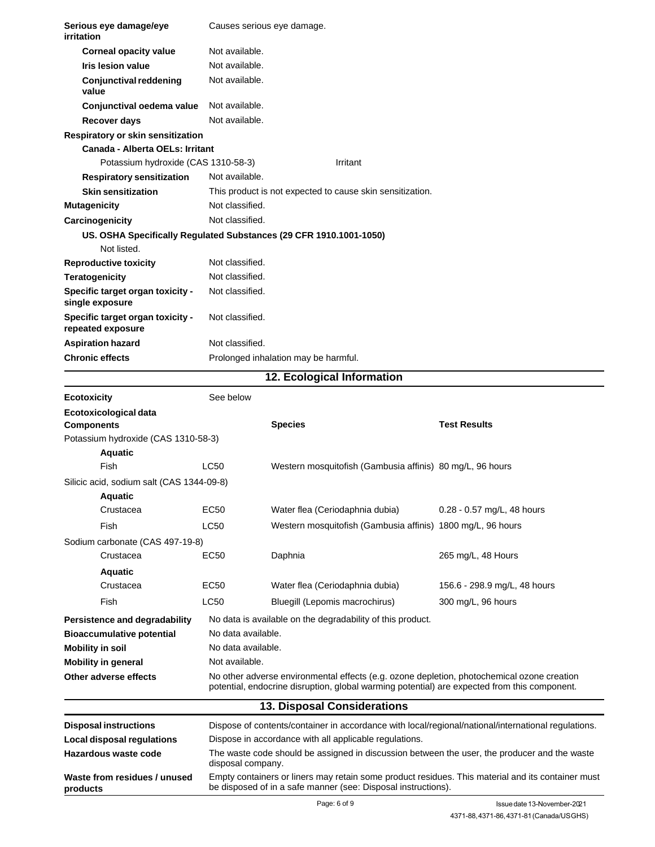| Serious eye damage/eye<br>irritation                               | Causes serious eye damage.                                                                                                                                                                 |                                                                                                     |                              |  |  |
|--------------------------------------------------------------------|--------------------------------------------------------------------------------------------------------------------------------------------------------------------------------------------|-----------------------------------------------------------------------------------------------------|------------------------------|--|--|
| <b>Corneal opacity value</b>                                       | Not available.                                                                                                                                                                             |                                                                                                     |                              |  |  |
| <b>Iris lesion value</b>                                           | Not available.                                                                                                                                                                             |                                                                                                     |                              |  |  |
| <b>Conjunctival reddening</b><br>value                             | Not available.                                                                                                                                                                             |                                                                                                     |                              |  |  |
| Conjunctival oedema value                                          | Not available.                                                                                                                                                                             |                                                                                                     |                              |  |  |
| <b>Recover days</b>                                                | Not available.                                                                                                                                                                             |                                                                                                     |                              |  |  |
| Respiratory or skin sensitization                                  |                                                                                                                                                                                            |                                                                                                     |                              |  |  |
| Canada - Alberta OELs: Irritant                                    |                                                                                                                                                                                            |                                                                                                     |                              |  |  |
| Potassium hydroxide (CAS 1310-58-3)                                |                                                                                                                                                                                            | Irritant                                                                                            |                              |  |  |
| <b>Respiratory sensitization</b>                                   | Not available.                                                                                                                                                                             |                                                                                                     |                              |  |  |
| <b>Skin sensitization</b>                                          |                                                                                                                                                                                            | This product is not expected to cause skin sensitization.                                           |                              |  |  |
| <b>Mutagenicity</b>                                                | Not classified.                                                                                                                                                                            |                                                                                                     |                              |  |  |
| Carcinogenicity                                                    | Not classified.                                                                                                                                                                            |                                                                                                     |                              |  |  |
| US. OSHA Specifically Regulated Substances (29 CFR 1910.1001-1050) |                                                                                                                                                                                            |                                                                                                     |                              |  |  |
| Not listed.                                                        |                                                                                                                                                                                            |                                                                                                     |                              |  |  |
| <b>Reproductive toxicity</b>                                       | Not classified.                                                                                                                                                                            |                                                                                                     |                              |  |  |
| Teratogenicity                                                     | Not classified.                                                                                                                                                                            |                                                                                                     |                              |  |  |
| Specific target organ toxicity -<br>single exposure                | Not classified.                                                                                                                                                                            |                                                                                                     |                              |  |  |
| Specific target organ toxicity -<br>repeated exposure              | Not classified.                                                                                                                                                                            |                                                                                                     |                              |  |  |
| <b>Aspiration hazard</b>                                           | Not classified.                                                                                                                                                                            |                                                                                                     |                              |  |  |
| <b>Chronic effects</b>                                             |                                                                                                                                                                                            | Prolonged inhalation may be harmful.                                                                |                              |  |  |
|                                                                    |                                                                                                                                                                                            | 12. Ecological Information                                                                          |                              |  |  |
| <b>Ecotoxicity</b>                                                 | See below                                                                                                                                                                                  |                                                                                                     |                              |  |  |
| Ecotoxicological data<br><b>Components</b>                         |                                                                                                                                                                                            | <b>Species</b>                                                                                      | <b>Test Results</b>          |  |  |
| Potassium hydroxide (CAS 1310-58-3)                                |                                                                                                                                                                                            |                                                                                                     |                              |  |  |
| Aquatic                                                            |                                                                                                                                                                                            |                                                                                                     |                              |  |  |
| Fish                                                               | LC50                                                                                                                                                                                       | Western mosquitofish (Gambusia affinis) 80 mg/L, 96 hours                                           |                              |  |  |
| Silicic acid, sodium salt (CAS 1344-09-8)                          |                                                                                                                                                                                            |                                                                                                     |                              |  |  |
| <b>Aquatic</b>                                                     |                                                                                                                                                                                            |                                                                                                     |                              |  |  |
| Crustacea                                                          | <b>EC50</b>                                                                                                                                                                                | Water flea (Ceriodaphnia dubia)                                                                     | 0.28 - 0.57 mg/L, 48 hours   |  |  |
| Fish                                                               | LC50                                                                                                                                                                                       | Western mosquitofish (Gambusia affinis) 1800 mg/L, 96 hours                                         |                              |  |  |
| Sodium carbonate (CAS 497-19-8)                                    |                                                                                                                                                                                            |                                                                                                     |                              |  |  |
| Crustacea                                                          | EC50                                                                                                                                                                                       | Daphnia                                                                                             | 265 mg/L, 48 Hours           |  |  |
| <b>Aquatic</b>                                                     |                                                                                                                                                                                            |                                                                                                     |                              |  |  |
| Crustacea                                                          | EC50                                                                                                                                                                                       | Water flea (Ceriodaphnia dubia)                                                                     | 156.6 - 298.9 mg/L, 48 hours |  |  |
| Fish                                                               | LC50                                                                                                                                                                                       | Bluegill (Lepomis macrochirus)                                                                      | 300 mg/L, 96 hours           |  |  |
| Persistence and degradability                                      |                                                                                                                                                                                            | No data is available on the degradability of this product.                                          |                              |  |  |
| <b>Bioaccumulative potential</b>                                   | No data available.                                                                                                                                                                         |                                                                                                     |                              |  |  |
| <b>Mobility in soil</b>                                            | No data available.                                                                                                                                                                         |                                                                                                     |                              |  |  |
| <b>Mobility in general</b>                                         | Not available.                                                                                                                                                                             |                                                                                                     |                              |  |  |
| Other adverse effects                                              | No other adverse environmental effects (e.g. ozone depletion, photochemical ozone creation<br>potential, endocrine disruption, global warming potential) are expected from this component. |                                                                                                     |                              |  |  |
|                                                                    |                                                                                                                                                                                            | 13. Disposal Considerations                                                                         |                              |  |  |
| <b>Disposal instructions</b>                                       |                                                                                                                                                                                            | Dispose of contents/container in accordance with local/regional/national/international regulations. |                              |  |  |
| Local disposal regulations                                         |                                                                                                                                                                                            | Dispose in accordance with all applicable regulations.                                              |                              |  |  |
| Hazardous waste code                                               | disposal company.                                                                                                                                                                          | The waste code should be assigned in discussion between the user, the producer and the waste        |                              |  |  |
| Waste from residues / unused<br>products                           | Empty containers or liners may retain some product residues. This material and its container must<br>be disposed of in a safe manner (see: Disposal instructions).                         |                                                                                                     |                              |  |  |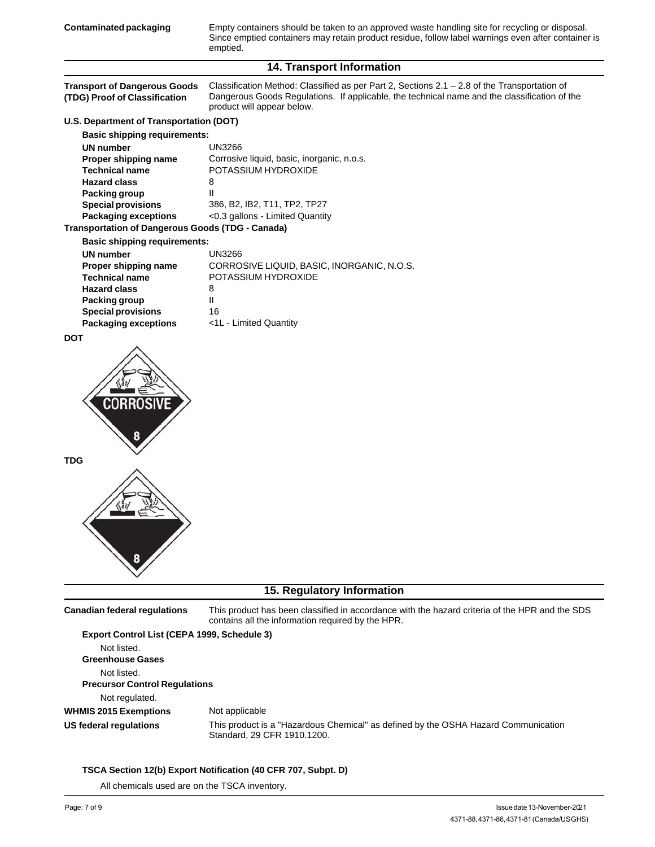Empty containers should be taken to an approved waste handling site for recycling or disposal. Since emptied containers may retain product residue, follow label warnings even after container is emptied.

## **14. Transport Information**

| <b>Transport of Dangerous Goods</b><br>(TDG) Proof of Classification | Classification Method: Classified as per Part 2, Sections $2.1 - 2.8$ of the Transportation of<br>Dangerous Goods Regulations. If applicable, the technical name and the classification of the<br>product will appear below. |  |  |  |
|----------------------------------------------------------------------|------------------------------------------------------------------------------------------------------------------------------------------------------------------------------------------------------------------------------|--|--|--|
| U.S. Department of Transportation (DOT)                              |                                                                                                                                                                                                                              |  |  |  |
| <b>Basic shipping requirements:</b>                                  |                                                                                                                                                                                                                              |  |  |  |
| UN number                                                            | <b>UN3266</b>                                                                                                                                                                                                                |  |  |  |
| Proper shipping name                                                 | Corrosive liquid, basic, inorganic, n.o.s.                                                                                                                                                                                   |  |  |  |
| <b>Technical name</b>                                                | POTASSIUM HYDROXIDE                                                                                                                                                                                                          |  |  |  |
| <b>Hazard class</b>                                                  | 8                                                                                                                                                                                                                            |  |  |  |
| <b>Packing group</b>                                                 | Ш                                                                                                                                                                                                                            |  |  |  |
| <b>Special provisions</b>                                            | 386, B2, IB2, T11, TP2, TP27                                                                                                                                                                                                 |  |  |  |
| <b>Packaging exceptions</b>                                          | <0.3 gallons - Limited Quantity                                                                                                                                                                                              |  |  |  |
| <b>Transportation of Dangerous Goods (TDG - Canada)</b>              |                                                                                                                                                                                                                              |  |  |  |
| <b>Basic shipping requirements:</b>                                  |                                                                                                                                                                                                                              |  |  |  |
| <b>UN number</b>                                                     | <b>UN3266</b>                                                                                                                                                                                                                |  |  |  |
| Proper shipping name                                                 | CORROSIVE LIQUID, BASIC, INORGANIC, N.O.S.                                                                                                                                                                                   |  |  |  |
| <b>Technical name</b><br><b>Hazard class</b>                         | POTASSIUM HYDROXIDE                                                                                                                                                                                                          |  |  |  |
| Packing group                                                        | 8<br>Ш                                                                                                                                                                                                                       |  |  |  |
| <b>Special provisions</b>                                            | 16                                                                                                                                                                                                                           |  |  |  |
| <b>Packaging exceptions</b>                                          | <1L - Limited Quantity                                                                                                                                                                                                       |  |  |  |
| <b>DOT</b>                                                           |                                                                                                                                                                                                                              |  |  |  |
| <b>CORROSIVE</b>                                                     |                                                                                                                                                                                                                              |  |  |  |
| <b>TDG</b>                                                           |                                                                                                                                                                                                                              |  |  |  |
|                                                                      | 15. Regulatory Information                                                                                                                                                                                                   |  |  |  |

This product has been classified in accordance with the hazard criteria of the HPR and the SDS contains all the information required by the HPR. **Canadian federal regulations**

| Export Control List (CEPA 1999, Schedule 3) |                                                                                                                   |
|---------------------------------------------|-------------------------------------------------------------------------------------------------------------------|
| Not listed.                                 |                                                                                                                   |
| <b>Greenhouse Gases</b>                     |                                                                                                                   |
| Not listed.                                 |                                                                                                                   |
| <b>Precursor Control Requlations</b>        |                                                                                                                   |
| Not regulated.                              |                                                                                                                   |
| <b>WHMIS 2015 Exemptions</b>                | Not applicable                                                                                                    |
| US federal regulations                      | This product is a "Hazardous Chemical" as defined by the OSHA Hazard Communication<br>Standard, 29 CFR 1910.1200. |

#### **TSCA Section 12(b) Export Notification (40 CFR 707, Subpt. D)**

All chemicals used are on the TSCA inventory.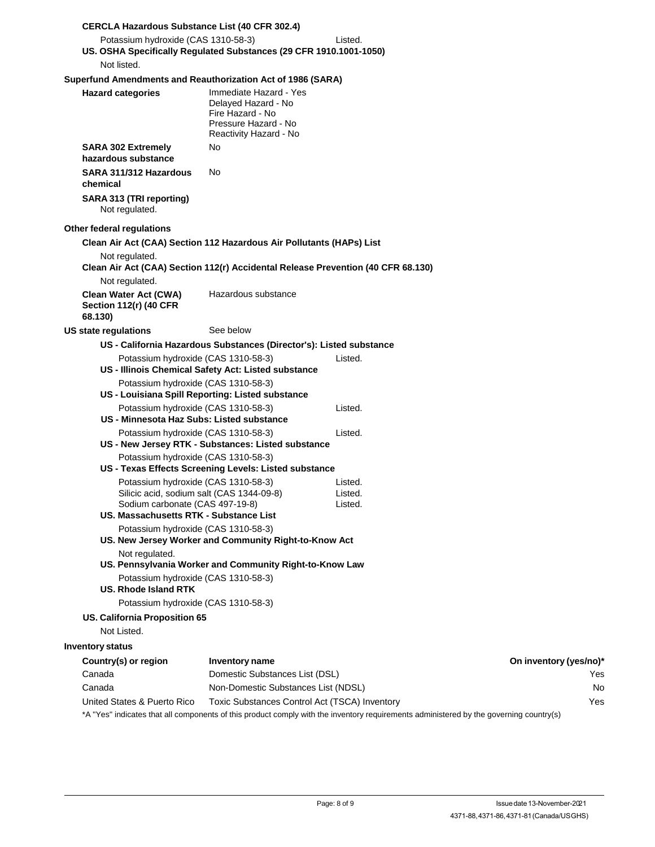| <b>CERCLA Hazardous Substance List (40 CFR 302.4)</b>                                                                                                         |                                                                                                                     |                               |                               |
|---------------------------------------------------------------------------------------------------------------------------------------------------------------|---------------------------------------------------------------------------------------------------------------------|-------------------------------|-------------------------------|
| Potassium hydroxide (CAS 1310-58-3)                                                                                                                           |                                                                                                                     | Listed.                       |                               |
| US. OSHA Specifically Regulated Substances (29 CFR 1910.1001-1050)                                                                                            |                                                                                                                     |                               |                               |
| Not listed.                                                                                                                                                   |                                                                                                                     |                               |                               |
| Superfund Amendments and Reauthorization Act of 1986 (SARA)                                                                                                   |                                                                                                                     |                               |                               |
| <b>Hazard categories</b>                                                                                                                                      | Immediate Hazard - Yes<br>Delayed Hazard - No<br>Fire Hazard - No<br>Pressure Hazard - No<br>Reactivity Hazard - No |                               |                               |
| <b>SARA 302 Extremely</b><br>hazardous substance                                                                                                              | No                                                                                                                  |                               |                               |
| SARA 311/312 Hazardous<br>chemical                                                                                                                            | No                                                                                                                  |                               |                               |
| SARA 313 (TRI reporting)<br>Not regulated.                                                                                                                    |                                                                                                                     |                               |                               |
| Other federal regulations                                                                                                                                     |                                                                                                                     |                               |                               |
| Clean Air Act (CAA) Section 112 Hazardous Air Pollutants (HAPs) List                                                                                          |                                                                                                                     |                               |                               |
| Not regulated.<br>Clean Air Act (CAA) Section 112(r) Accidental Release Prevention (40 CFR 68.130)                                                            |                                                                                                                     |                               |                               |
| Not regulated.                                                                                                                                                |                                                                                                                     |                               |                               |
| <b>Clean Water Act (CWA)</b><br><b>Section 112(r) (40 CFR</b><br>68.130)                                                                                      | Hazardous substance                                                                                                 |                               |                               |
| US state regulations                                                                                                                                          | See below                                                                                                           |                               |                               |
|                                                                                                                                                               | US - California Hazardous Substances (Director's): Listed substance                                                 |                               |                               |
| Potassium hydroxide (CAS 1310-58-3)                                                                                                                           | US - Illinois Chemical Safety Act: Listed substance                                                                 | Listed.                       |                               |
| Potassium hydroxide (CAS 1310-58-3)                                                                                                                           |                                                                                                                     |                               |                               |
|                                                                                                                                                               | US - Louisiana Spill Reporting: Listed substance                                                                    |                               |                               |
| Potassium hydroxide (CAS 1310-58-3)<br>US - Minnesota Haz Subs: Listed substance                                                                              |                                                                                                                     | Listed.                       |                               |
| Potassium hydroxide (CAS 1310-58-3)                                                                                                                           | US - New Jersey RTK - Substances: Listed substance                                                                  | Listed.                       |                               |
| Potassium hydroxide (CAS 1310-58-3)                                                                                                                           | US - Texas Effects Screening Levels: Listed substance                                                               |                               |                               |
| Potassium hydroxide (CAS 1310-58-3)<br>Silicic acid, sodium salt (CAS 1344-09-8)<br>Sodium carbonate (CAS 497-19-8)<br>US. Massachusetts RTK - Substance List |                                                                                                                     | Listed.<br>Listed.<br>Listed. |                               |
| Potassium hydroxide (CAS 1310-58-3)                                                                                                                           |                                                                                                                     |                               |                               |
|                                                                                                                                                               | US. New Jersey Worker and Community Right-to-Know Act                                                               |                               |                               |
| Not regulated.                                                                                                                                                | US. Pennsylvania Worker and Community Right-to-Know Law                                                             |                               |                               |
| Potassium hydroxide (CAS 1310-58-3)<br><b>US. Rhode Island RTK</b>                                                                                            |                                                                                                                     |                               |                               |
| Potassium hydroxide (CAS 1310-58-3)                                                                                                                           |                                                                                                                     |                               |                               |
| US. California Proposition 65<br>Not Listed.                                                                                                                  |                                                                                                                     |                               |                               |
|                                                                                                                                                               |                                                                                                                     |                               |                               |
| <b>Inventory status</b>                                                                                                                                       |                                                                                                                     |                               |                               |
| Country(s) or region<br>Canada                                                                                                                                | Inventory name<br>Domestic Substances List (DSL)                                                                    |                               | On inventory (yes/no)*<br>Yes |
| Canada                                                                                                                                                        | Non-Domestic Substances List (NDSL)                                                                                 |                               | No                            |
| United States & Puerto Rico                                                                                                                                   | Toxic Substances Control Act (TSCA) Inventory                                                                       |                               | Yes                           |
|                                                                                                                                                               |                                                                                                                     |                               |                               |

\*A "Yes" indicates that all components of this product comply with the inventory requirements administered by the governing country(s)